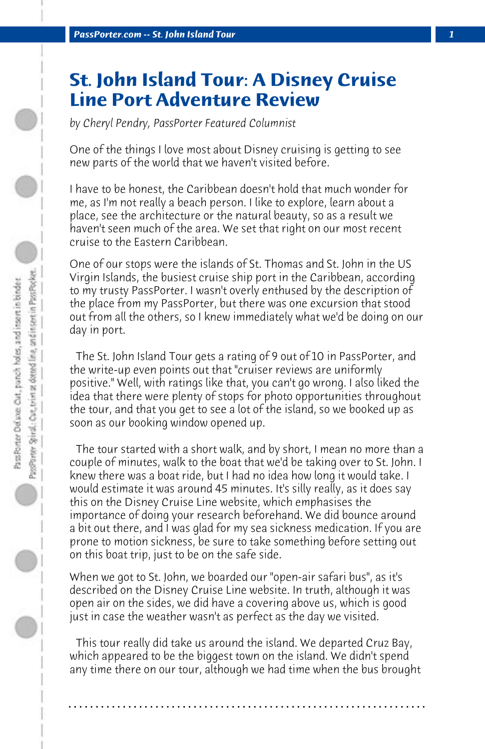## **St. John Island Tour: A Disney Cruise Line Port Adventure Review**

*by Cheryl Pendry, PassPorter Featured Columnist*

One of the things I love most about Disney cruising is getting to see new parts of the world that we haven't visited before.

I have to be honest, the Caribbean doesn't hold that much wonder for me, as I'm not really a beach person. I like to explore, learn about a place, see the architecture or the natural beauty, so as a result we haven't seen much of the area. We set that right on our most recent cruise to the Eastern Caribbean.

One of our stops were the islands of St. Thomas and St. John in the US Virgin Islands, the busiest cruise ship port in the Caribbean, according to my trusty PassPorter. I wasn't overly enthused by the description of the place from my PassPorter, but there was one excursion that stood out from all the others, so I knew immediately what we'd be doing on our day in port.

 The St. John Island Tour gets a rating of 9 out of 10 in PassPorter, and the write-up even points out that "cruiser reviews are uniformly positive." Well, with ratings like that, you can't go wrong. I also liked the idea that there were plenty of stops for photo opportunities throughout the tour, and that you get to see a lot of the island, so we booked up as soon as our booking window opened up.

 The tour started with a short walk, and by short, I mean no more than a couple of minutes, walk to the boat that we'd be taking over to St. John. I knew there was a boat ride, but I had no idea how long it would take. I would estimate it was around 45 minutes. It's silly really, as it does say this on the Disney Cruise Line website, which emphasises the importance of doing your research beforehand. We did bounce around a bit out there, and I was glad for my sea sickness medication. If you are prone to motion sickness, be sure to take something before setting out on this boat trip, just to be on the safe side.

When we got to St. John, we boarded our "open-air safari bus", as it's described on the Disney Cruise Line website. In truth, although it was open air on the sides, we did have a covering above us, which is good just in case the weather wasn't as perfect as the day we visited.

 This tour really did take us around the island. We departed Cruz Bay, which appeared to be the biggest town on the island. We didn't spend any time there on our tour, although we had time when the bus brought

**. . . . . . . . . . . . . . . . . . . . . . . . . . . . . . . . . . . . . . . . . . . . . . . . . . . . . . . . . . . . . . . . . .**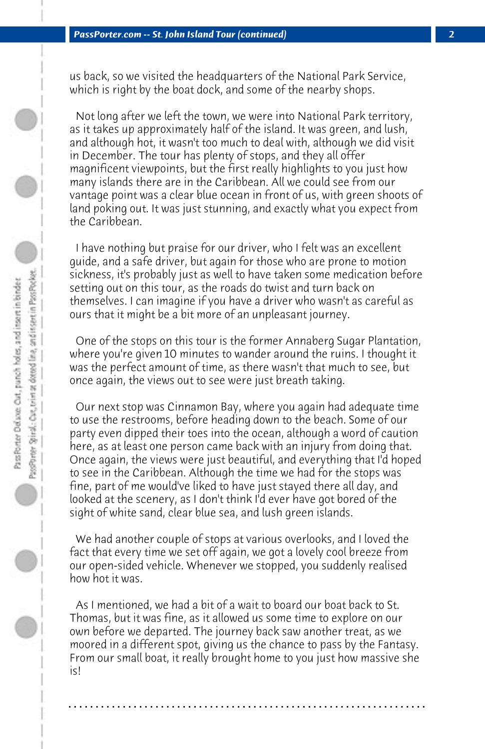us back, so we visited the headquarters of the National Park Service, which is right by the boat dock, and some of the nearby shops.

 Not long after we left the town, we were into National Park territory, as it takes up approximately half of the island. It was green, and lush, and although hot, it wasn't too much to deal with, although we did visit in December. The tour has plenty of stops, and they all offer magnificent viewpoints, but the first really highlights to you just how many islands there are in the Caribbean. All we could see from our vantage point was a clear blue ocean in front of us, with green shoots of land poking out. It was just stunning, and exactly what you expect from the Caribbean.

 I have nothing but praise for our driver, who I felt was an excellent guide, and a safe driver, but again for those who are prone to motion sickness, it's probably just as well to have taken some medication before setting out on this tour, as the roads do twist and turn back on themselves. I can imagine if you have a driver who wasn't as careful as ours that it might be a bit more of an unpleasant journey.

 One of the stops on this tour is the former Annaberg Sugar Plantation, where you're given 10 minutes to wander around the ruins. I thought it was the perfect amount of time, as there wasn't that much to see, but once again, the views out to see were just breath taking.

 Our next stop was Cinnamon Bay, where you again had adequate time to use the restrooms, before heading down to the beach. Some of our party even dipped their toes into the ocean, although a word of caution here, as at least one person came back with an injury from doing that. Once again, the views were just beautiful, and everything that I'd hoped to see in the Caribbean. Although the time we had for the stops was fine, part of me would've liked to have just stayed there all day, and looked at the scenery, as I don't think I'd ever have got bored of the sight of white sand, clear blue sea, and lush green islands.

We had another couple of stops at various overlooks, and I loved the fact that every time we set off again, we got a lovely cool breeze from our open-sided vehicle. Whenever we stopped, you suddenly realised how hot it was.

 As I mentioned, we had a bit of a wait to board our boat back to St. Thomas, but it was fine, as it allowed us some time to explore on our own before we departed. The journey back saw another treat, as we moored in a different spot, giving us the chance to pass by the Fantasy. From our small boat, it really brought home to you just how massive she is!

**. . . . . . . . . . . . . . . . . . . . . . . . . . . . . . . . . . . . . . . . . . . . . . . . . . . . . . . . . . . . . . . . . .**